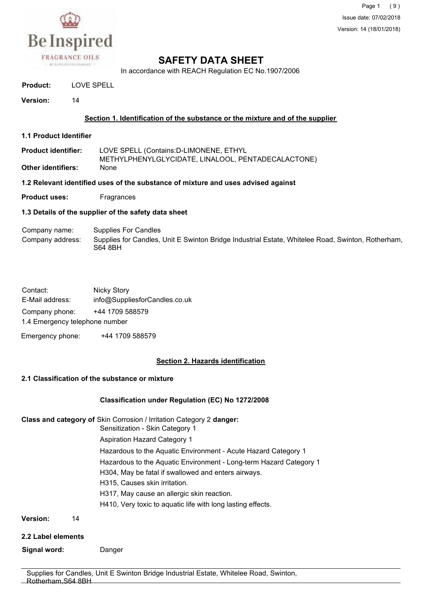

Page 1 (9) Issue date: 07/02/2018 Version: 14 (18/01/2018)

# **SAFETY DATA SHEET**

In accordance with REACH Regulation EC No.1907/2006

**Product:** LOVE SPELL

**Version:** 14

#### **Section 1. Identification of the substance or the mixture and of the supplier**

- **1.1 Product Identifier**
- **Product identifier:** LOVE SPELL (Contains:D-LIMONENE, ETHYL METHYLPHENYLGLYCIDATE, LINALOOL, PENTADECALACTONE) **Other identifiers:** None

**1.2 Relevant identified uses of the substance of mixture and uses advised against**

**Product uses:** Fragrances

#### **1.3 Details of the supplier of the safety data sheet**

#### Company name: Supplies For Candles Company address: Supplies for Candles, Unit E Swinton Bridge Industrial Estate, Whitelee Road, Swinton, Rotherham, S64 8BH

| Contact:                       | Nicky Story                   |
|--------------------------------|-------------------------------|
| E-Mail address:                | info@SuppliesforCandles.co.uk |
| Company phone:                 | +44 1709 588579               |
| 1.4 Emergency telephone number |                               |

Emergency phone: +44 1709 588579

## **Section 2. Hazards identification**

#### **2.1 Classification of the substance or mixture**

## **Classification under Regulation (EC) No 1272/2008**

**Class and category of** Skin Corrosion / Irritation Category 2 **danger:**

Sensitization - Skin Category 1

Aspiration Hazard Category 1

Hazardous to the Aquatic Environment - Acute Hazard Category 1

Hazardous to the Aquatic Environment - Long-term Hazard Category 1

H304, May be fatal if swallowed and enters airways.

- H315, Causes skin irritation.
- H317, May cause an allergic skin reaction.

H410, Very toxic to aquatic life with long lasting effects.

**Version:** 14

**2.2 Label elements**

**Signal word:** Danger

Supplies for Candles, Unit E Swinton Bridge Industrial Estate, Whitelee Road, Swinton, Rotherham,S64 8BH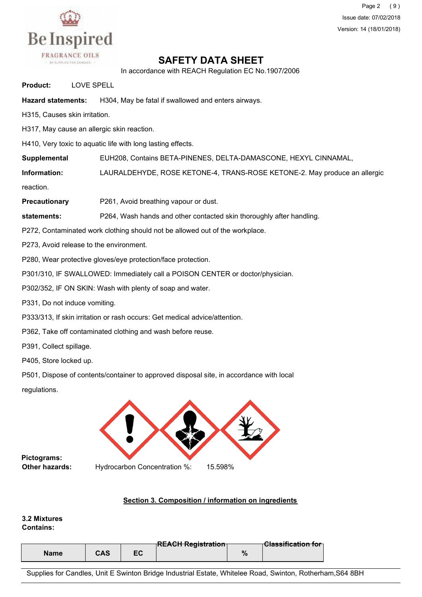

Page 2 (9) Issue date: 07/02/2018 Version: 14 (18/01/2018)

## **SAFETY DATA SHEET**

In accordance with REACH Regulation EC No.1907/2006

**Product:** LOVE SPELL

**Hazard statements:** H304, May be fatal if swallowed and enters airways.

H315, Causes skin irritation.

H317, May cause an allergic skin reaction.

H410, Very toxic to aquatic life with long lasting effects.

**Supplemental** EUH208, Contains BETA-PINENES, DELTA-DAMASCONE, HEXYL CINNAMAL,

**Information:** LAURALDEHYDE, ROSE KETONE-4, TRANS-ROSE KETONE-2. May produce an allergic

reaction.

**Precautionary** P261, Avoid breathing vapour or dust.

**statements:** P264, Wash hands and other contacted skin thoroughly after handling.

P272, Contaminated work clothing should not be allowed out of the workplace.

P273, Avoid release to the environment.

P280, Wear protective gloves/eye protection/face protection.

P301/310, IF SWALLOWED: Immediately call a POISON CENTER or doctor/physician.

P302/352, IF ON SKIN: Wash with plenty of soap and water.

P331, Do not induce vomiting.

P333/313, If skin irritation or rash occurs: Get medical advice/attention.

P362, Take off contaminated clothing and wash before reuse.

P391, Collect spillage.

P405, Store locked up.

P501, Dispose of contents/container to approved disposal site, in accordance with local

regulations.



**Pictograms: Other hazards:**

Hydrocarbon Concentration %: 15.598%

## **Section 3. Composition / information on ingredients**

#### **3.2 Mixtures Contains:**

|      |     |    | <b>DEAOU DAMILLAND</b>           |                                   |
|------|-----|----|----------------------------------|-----------------------------------|
|      |     |    | <del>⊺к∟дСН кеgistration ∣</del> | ⊤ <del>Classification for</del> ⊤ |
| Name | CAS | -^ |                                  |                                   |

Supplies for Candles, Unit E Swinton Bridge Industrial Estate, Whitelee Road, Swinton, Rotherham,S64 8BH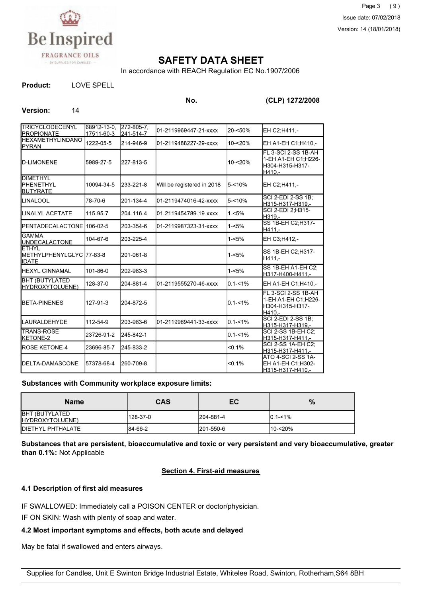

## **SAFETY DATA SHEET**

In accordance with REACH Regulation EC No.1907/2006

**Product:** LOVE SPELL

**No. (CLP) 1272/2008**

#### Version: 14

| <b>TRICYCLODECENYL</b>                                       | 68912-13-0.             | 272-805-7              | 01-2119969447-21-xxxx      | 20-<50%     | EH C2:H411,-                                                            |
|--------------------------------------------------------------|-------------------------|------------------------|----------------------------|-------------|-------------------------------------------------------------------------|
| <b>PROPIONATE</b><br><b>HEXAMETHYLINDANO</b><br><b>PYRAN</b> | 17511-60-3<br>1222-05-5 | 241-514-7<br>214-946-9 | 01-2119488227-29-xxxx      | 10-<20%     | EH A1-EH C1: H410,-                                                     |
| <b>D-LIMONENE</b>                                            | 5989-27-5               | 227-813-5              |                            | 10-<20%     | FL 3-SCI 2-SS 1B-AH<br>1-EH A1-EH C1;H226-<br>H304-H315-H317-<br>H410,- |
| <b>DIMETHYL</b><br>PHENETHYL<br><b>BUTYRATE</b>              | 10094-34-5              | 233-221-8              | Will be registered in 2018 | 5-<10%      | EH C2:H411.-                                                            |
| <b>ILINALOOL</b>                                             | 78-70-6                 | 201-134-4              | 01-2119474016-42-xxxx      | $5 - 10%$   | <b>SCI 2-EDI 2-SS 1B:</b><br>H315-H317-H319,-                           |
| LINALYL ACETATE                                              | 115-95-7                | 204-116-4              | 01-2119454789-19-xxxx      | $1 - 5%$    | SCI 2-EDI 2:H315-<br>H319.-                                             |
| PENTADECALACTONE 106-02-5                                    |                         | 203-354-6              | l01-2119987323-31-xxxx     | $1 - 5%$    | SS 1B-EH C2; H317-<br>H411,-                                            |
| <b>GAMMA</b><br><b>UNDECALACTONE</b>                         | 104-67-6                | 203-225-4              |                            | $1 - 5%$    | EH C3;H412,-                                                            |
| <b>ETHYL</b><br>METHYLPHENYLGLYC 77-83-8<br><b>IDATE</b>     |                         | 201-061-8              |                            | $1 - 5%$    | SS 1B-EH C2:H317-<br>H411.-                                             |
| <b>HEXYL CINNAMAL</b>                                        | 101-86-0                | 202-983-3              |                            | $1 - 5%$    | SS 1B-EH A1-EH C2:<br>H317-H400-H411.-                                  |
| <b>BHT (BUTYLATED)</b><br>HYDROXYTOLUENE)                    | 128-37-0                | 204-881-4              | l01-2119555270-46-xxxx     | $0.1 - 1\%$ | EH A1-EH C1;H410,-                                                      |
| BETA-PINENES                                                 | 127-91-3                | 204-872-5              |                            | $0.1 - 1\%$ | FL 3-SCI 2-SS 1B-AH<br>1-EH A1-EH C1:H226-<br>H304-H315-H317-<br>H410.- |
| LAURALDEHYDE                                                 | 112-54-9                | 203-983-6              | 01-2119969441-33-xxxx      | $0.1 - 1%$  | <b>SCI 2-EDI 2-SS 1B:</b><br>H315-H317-H319 -                           |
| <b>TRANS-ROSE</b><br>KETONE-2                                | 23726-91-2              | 245-842-1              |                            | $0.1 - 1\%$ | <b>SCI 2-SS 1B-EH C2:</b><br>H315-H317-H411.-                           |
| <b>ROSE KETONE-4</b>                                         | 23696-85-7              | 245-833-2              |                            | < 0.1%      | SCI 2-SS 1A-EH C2:<br>H315-H317-H411,-                                  |
| DELTA-DAMASCONE                                              | 57378-68-4              | 260-709-8              |                            | < 0.1%      | ATO 4-SCI 2-SS 1A-<br>EH A1-EH C1:H302-<br>H315-H317-H410,-             |

#### **Substances with Community workplace exposure limits:**

| <b>Name</b>                              | <b>CAS</b> | EC        | $\frac{9}{6}$ |
|------------------------------------------|------------|-----------|---------------|
| <b>BHT (BUTYLATED</b><br>HYDROXYTOLUENE) | 128-37-0   | 204-881-4 | $ 0.1 - 51\%$ |
| <b>IDIETHYL PHTHALATE</b>                | 84-66-2    | 201-550-6 | 10-<20%       |

**Substances that are persistent, bioaccumulative and toxic or very persistent and very bioaccumulative, greater than 0.1%:** Not Applicable

#### **Section 4. First-aid measures**

#### **4.1 Description of first aid measures**

IF SWALLOWED: Immediately call a POISON CENTER or doctor/physician.

IF ON SKIN: Wash with plenty of soap and water.

#### **4.2 Most important symptoms and effects, both acute and delayed**

May be fatal if swallowed and enters airways.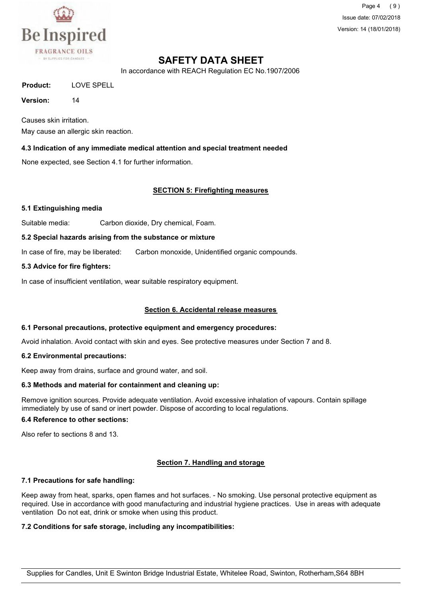

Page 4 ( 9 ) Issue date: 07/02/2018 Version: 14 (18/01/2018)

## **SAFETY DATA SHEET**

In accordance with REACH Regulation EC No.1907/2006

**Product:** LOVE SPELL

**Version:** 14

Causes skin irritation. May cause an allergic skin reaction.

#### **4.3 Indication of any immediate medical attention and special treatment needed**

None expected, see Section 4.1 for further information.

#### **SECTION 5: Firefighting measures**

#### **5.1 Extinguishing media**

Suitable media: Carbon dioxide, Dry chemical, Foam.

#### **5.2 Special hazards arising from the substance or mixture**

In case of fire, may be liberated: Carbon monoxide, Unidentified organic compounds.

#### **5.3 Advice for fire fighters:**

In case of insufficient ventilation, wear suitable respiratory equipment.

#### **Section 6. Accidental release measures**

#### **6.1 Personal precautions, protective equipment and emergency procedures:**

Avoid inhalation. Avoid contact with skin and eyes. See protective measures under Section 7 and 8.

#### **6.2 Environmental precautions:**

Keep away from drains, surface and ground water, and soil.

#### **6.3 Methods and material for containment and cleaning up:**

Remove ignition sources. Provide adequate ventilation. Avoid excessive inhalation of vapours. Contain spillage immediately by use of sand or inert powder. Dispose of according to local regulations.

#### **6.4 Reference to other sections:**

Also refer to sections 8 and 13.

## **Section 7. Handling and storage**

#### **7.1 Precautions for safe handling:**

Keep away from heat, sparks, open flames and hot surfaces. - No smoking. Use personal protective equipment as required. Use in accordance with good manufacturing and industrial hygiene practices. Use in areas with adequate ventilation Do not eat, drink or smoke when using this product.

#### **7.2 Conditions for safe storage, including any incompatibilities:**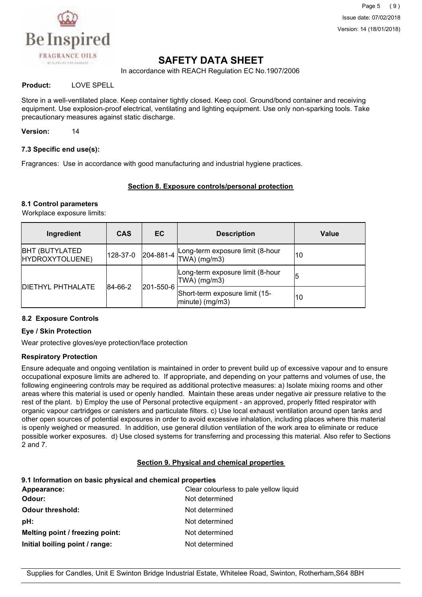

Page 5 (9) Issue date: 07/02/2018 Version: 14 (18/01/2018)

## **SAFETY DATA SHEET**

In accordance with REACH Regulation EC No.1907/2006

#### **Product:** LOVE SPELL

Store in a well-ventilated place. Keep container tightly closed. Keep cool. Ground/bond container and receiving equipment. Use explosion-proof electrical, ventilating and lighting equipment. Use only non-sparking tools. Take precautionary measures against static discharge.

**Version:** 14

#### **7.3 Specific end use(s):**

Fragrances: Use in accordance with good manufacturing and industrial hygiene practices.

#### **Section 8. Exposure controls/personal protection**

#### **8.1 Control parameters**

Workplace exposure limits:

| Ingredient                                       | <b>CAS</b> | EC                                                   | <b>Description</b>                                 | Value |
|--------------------------------------------------|------------|------------------------------------------------------|----------------------------------------------------|-------|
| <b>BHT (BUTYLATED)</b><br>HYDROXYTOLUENE)        | 128-37-0   | $ 204 - 881 - 4 $                                    | Long-term exposure limit (8-hour<br>$TWA)$ (mg/m3) | 10    |
|                                                  |            |                                                      | Long-term exposure limit (8-hour<br>$TWA)$ (mg/m3) | 5     |
| <b>DIETHYL PHTHALATE</b><br>84-66-2<br>201-550-6 |            | Short-term exposure limit (15-<br>$ minute)$ (mg/m3) | 10                                                 |       |

#### **8.2 Exposure Controls**

#### **Eye / Skin Protection**

Wear protective gloves/eye protection/face protection

#### **Respiratory Protection**

Ensure adequate and ongoing ventilation is maintained in order to prevent build up of excessive vapour and to ensure occupational exposure limits are adhered to. If appropriate, and depending on your patterns and volumes of use, the following engineering controls may be required as additional protective measures: a) Isolate mixing rooms and other areas where this material is used or openly handled. Maintain these areas under negative air pressure relative to the rest of the plant. b) Employ the use of Personal protective equipment - an approved, properly fitted respirator with organic vapour cartridges or canisters and particulate filters. c) Use local exhaust ventilation around open tanks and other open sources of potential exposures in order to avoid excessive inhalation, including places where this material is openly weighed or measured. In addition, use general dilution ventilation of the work area to eliminate or reduce possible worker exposures. d) Use closed systems for transferring and processing this material. Also refer to Sections 2 and 7.

#### **Section 9. Physical and chemical properties**

#### **9.1 Information on basic physical and chemical properties**

| Appearance:                     | Clear colourless to pale yellow liquid |
|---------------------------------|----------------------------------------|
| Odour:                          | Not determined                         |
| <b>Odour threshold:</b>         | Not determined                         |
| pH:                             | Not determined                         |
| Melting point / freezing point: | Not determined                         |
| Initial boiling point / range:  | Not determined                         |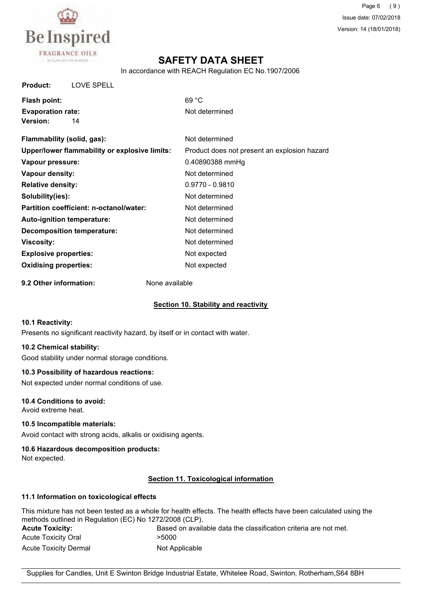

## **SAFETY DATA SHEET**

In accordance with REACH Regulation EC No.1907/2006

**Product:** LOVE SPELL

| Flash point:             |    | 69 °C  |
|--------------------------|----|--------|
| <b>Evaporation rate:</b> |    | Not de |
| <b>Version:</b>          | 14 |        |

**Evaporation rate:** Not determined

| Flammability (solid, gas):                    | Not determined                               |
|-----------------------------------------------|----------------------------------------------|
| Upper/lower flammability or explosive limits: | Product does not present an explosion hazard |
| Vapour pressure:                              | 0.40890388 mmHg                              |
| Vapour density:                               | Not determined                               |
| <b>Relative density:</b>                      | $0.9770 - 0.9810$                            |
| Solubility(ies):                              | Not determined                               |
| Partition coefficient: n-octanol/water:       | Not determined                               |
| Auto-ignition temperature:                    | Not determined                               |
| <b>Decomposition temperature:</b>             | Not determined                               |
| <b>Viscosity:</b>                             | Not determined                               |
| <b>Explosive properties:</b>                  | Not expected                                 |
| <b>Oxidising properties:</b>                  | Not expected                                 |
|                                               |                                              |

**9.2 Other information:** None available

#### **Section 10. Stability and reactivity**

#### **10.1 Reactivity:**

Presents no significant reactivity hazard, by itself or in contact with water.

## **10.2 Chemical stability:**

Good stability under normal storage conditions.

#### **10.3 Possibility of hazardous reactions:**

Not expected under normal conditions of use.

#### **10.4 Conditions to avoid:**

Avoid extreme heat.

#### **10.5 Incompatible materials:**

Avoid contact with strong acids, alkalis or oxidising agents.

#### **10.6 Hazardous decomposition products:**

Not expected.

## **Section 11. Toxicological information**

#### **11.1 Information on toxicological effects**

|                                                         | This mixture has not been tested as a whole for health effects. The health effects have been calculated using the |
|---------------------------------------------------------|-------------------------------------------------------------------------------------------------------------------|
| methods outlined in Regulation (EC) No 1272/2008 (CLP). |                                                                                                                   |
| <b>Acute Toxicity:</b>                                  | Based on available data the classification criteria are not met.                                                  |
| Acute Toxicity Oral                                     | >5000                                                                                                             |
| <b>Acute Toxicity Dermal</b>                            | Not Applicable                                                                                                    |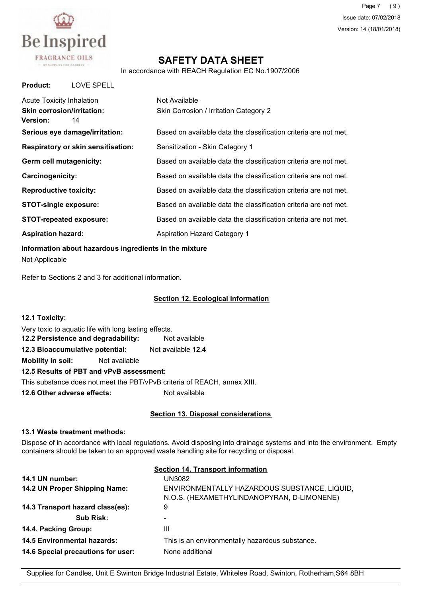

Page 7 (9) Issue date: 07/02/2018 Version: 14 (18/01/2018)

## **SAFETY DATA SHEET**

In accordance with REACH Regulation EC No.1907/2006

| <b>Product:</b><br>LOVE SPELL                                                                  |                                                                  |
|------------------------------------------------------------------------------------------------|------------------------------------------------------------------|
| <b>Acute Toxicity Inhalation</b><br><b>Skin corrosion/irritation:</b><br><b>Version:</b><br>14 | Not Available<br>Skin Corrosion / Irritation Category 2          |
| Serious eye damage/irritation:                                                                 | Based on available data the classification criteria are not met. |
| <b>Respiratory or skin sensitisation:</b>                                                      | Sensitization - Skin Category 1                                  |
| Germ cell mutagenicity:                                                                        | Based on available data the classification criteria are not met. |
| Carcinogenicity:                                                                               | Based on available data the classification criteria are not met. |
| <b>Reproductive toxicity:</b>                                                                  | Based on available data the classification criteria are not met. |
| <b>STOT-single exposure:</b>                                                                   | Based on available data the classification criteria are not met. |
| <b>STOT-repeated exposure:</b>                                                                 | Based on available data the classification criteria are not met. |
| <b>Aspiration hazard:</b>                                                                      | <b>Aspiration Hazard Category 1</b>                              |

**Information about hazardous ingredients in the mixture** Not Applicable

Refer to Sections 2 and 3 for additional information.

#### **Section 12. Ecological information**

| 12.1 Toxicity:                                                           |  |                           |  |
|--------------------------------------------------------------------------|--|---------------------------|--|
| Very toxic to aquatic life with long lasting effects.                    |  |                           |  |
| 12.2 Persistence and degradability:                                      |  | Not available             |  |
| 12.3 Bioaccumulative potential:                                          |  | Not available <b>12.4</b> |  |
| <b>Mobility in soil:</b> Not available                                   |  |                           |  |
| 12.5 Results of PBT and vPvB assessment:                                 |  |                           |  |
| This substance does not meet the PBT/vPvB criteria of REACH, annex XIII. |  |                           |  |
| 12.6 Other adverse effects:                                              |  | Not available             |  |

#### **Section 13. Disposal considerations**

#### **13.1 Waste treatment methods:**

Dispose of in accordance with local regulations. Avoid disposing into drainage systems and into the environment. Empty containers should be taken to an approved waste handling site for recycling or disposal.

|                                    | <b>Section 14. Transport information</b>                                                   |
|------------------------------------|--------------------------------------------------------------------------------------------|
| 14.1 UN number:                    | UN3082                                                                                     |
| 14.2 UN Proper Shipping Name:      | ENVIRONMENTALLY HAZARDOUS SUBSTANCE, LIQUID,<br>N.O.S. (HEXAMETHYLINDANOPYRAN, D-LIMONENE) |
| 14.3 Transport hazard class(es):   | 9                                                                                          |
| Sub Risk:                          |                                                                                            |
| 14.4. Packing Group:               | Ш                                                                                          |
| <b>14.5 Environmental hazards:</b> | This is an environmentally hazardous substance.                                            |
| 14.6 Special precautions for user: | None additional                                                                            |

Supplies for Candles, Unit E Swinton Bridge Industrial Estate, Whitelee Road, Swinton, Rotherham,S64 8BH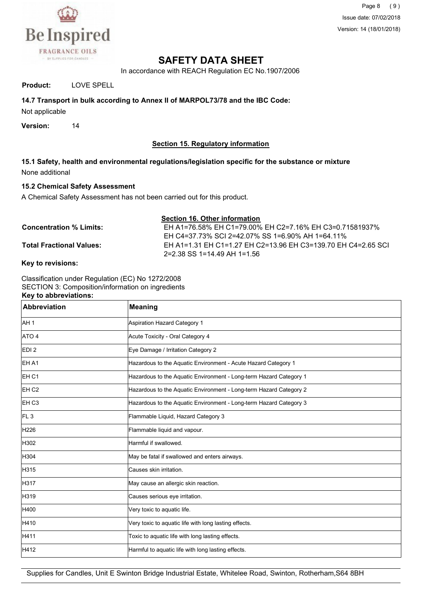

Page 8 (9) Issue date: 07/02/2018 Version: 14 (18/01/2018)

## **SAFETY DATA SHEET**

In accordance with REACH Regulation EC No.1907/2006

#### **Product:** LOVE SPELL

#### **14.7 Transport in bulk according to Annex II of MARPOL73/78 and the IBC Code:**

Not applicable

**Version:** 14

#### **Section 15. Regulatory information**

**15.1 Safety, health and environmental regulations/legislation specific for the substance or mixture** None additional

#### **15.2 Chemical Safety Assessment**

A Chemical Safety Assessment has not been carried out for this product.

| <b>Section 16. Other information</b> |                                                               |
|--------------------------------------|---------------------------------------------------------------|
| <b>Concentration % Limits:</b>       | EH A1=76.58% EH C1=79.00% EH C2=7.16% EH C3=0.71581937%       |
|                                      | EH C4=37.73% SCI 2=42.07% SS 1=6.90% AH 1=64.11%              |
| <b>Total Fractional Values:</b>      | EH A1=1.31 EH C1=1.27 EH C2=13.96 EH C3=139.70 EH C4=2.65 SCI |
|                                      | $2=2.38$ SS 1=14.49 AH 1=1.56                                 |

#### **Key to revisions:**

Classification under Regulation (EC) No 1272/2008 SECTION 3: Composition/information on ingredients **Key to abbreviations:**

| <b>Abbreviation</b> | <b>Meaning</b>                                                     |
|---------------------|--------------------------------------------------------------------|
| AH <sub>1</sub>     | Aspiration Hazard Category 1                                       |
| ATO <sub>4</sub>    | Acute Toxicity - Oral Category 4                                   |
| EDI <sub>2</sub>    | Eye Damage / Irritation Category 2                                 |
| EH A1               | Hazardous to the Aquatic Environment - Acute Hazard Category 1     |
| EH <sub>C1</sub>    | Hazardous to the Aquatic Environment - Long-term Hazard Category 1 |
| EH <sub>C2</sub>    | Hazardous to the Aquatic Environment - Long-term Hazard Category 2 |
| EH <sub>C3</sub>    | Hazardous to the Aquatic Environment - Long-term Hazard Category 3 |
| FL <sub>3</sub>     | Flammable Liquid, Hazard Category 3                                |
| H226                | Flammable liquid and vapour.                                       |
| H302                | Harmful if swallowed.                                              |
| H304                | May be fatal if swallowed and enters airways.                      |
| H315                | Causes skin irritation.                                            |
| H317                | May cause an allergic skin reaction.                               |
| H319                | Causes serious eye irritation.                                     |
| H400                | Very toxic to aquatic life.                                        |
| H410                | Very toxic to aquatic life with long lasting effects.              |
| H411                | Toxic to aquatic life with long lasting effects.                   |
| H412                | Harmful to aquatic life with long lasting effects.                 |